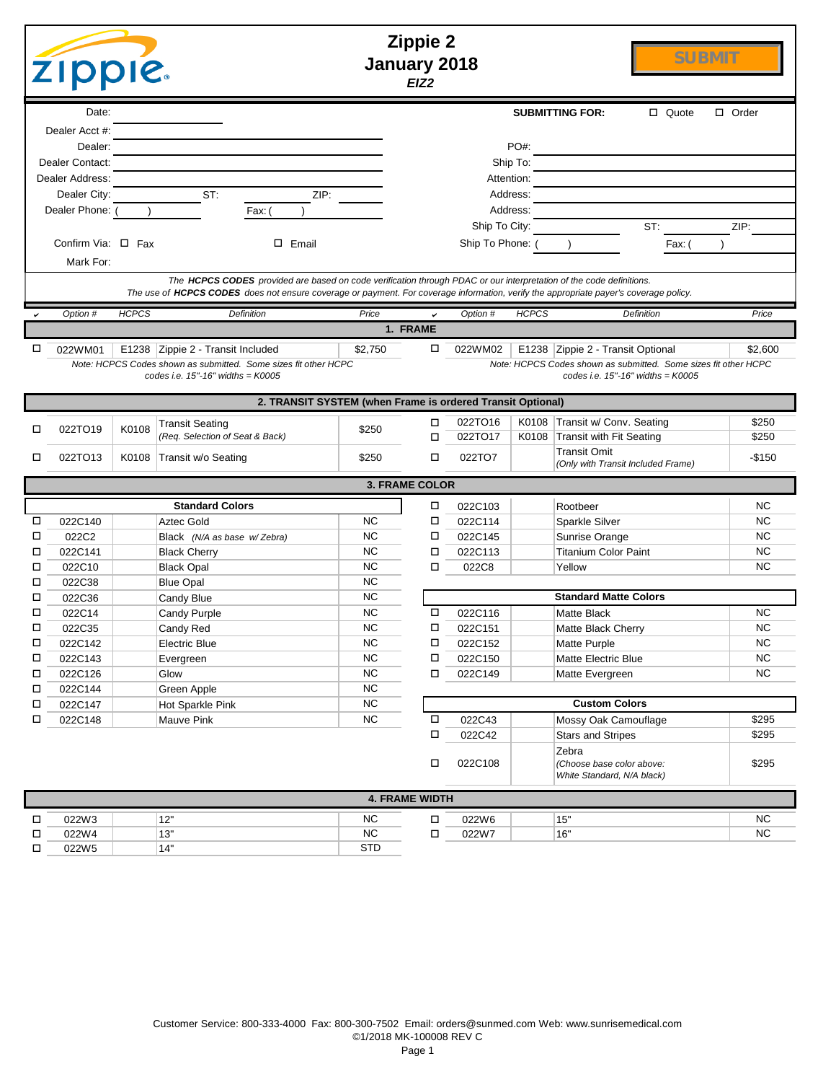|        | <b>Zippie 2</b><br><b>SUBMIT</b><br>January 2018<br><b>ZIPPIE.</b><br>EIZ <sub>2</sub>                                                                                                                                                                                    |              |                                   |                        |                       |                    |              |                                                                  |              |                        |  |
|--------|---------------------------------------------------------------------------------------------------------------------------------------------------------------------------------------------------------------------------------------------------------------------------|--------------|-----------------------------------|------------------------|-----------------------|--------------------|--------------|------------------------------------------------------------------|--------------|------------------------|--|
|        | Date:                                                                                                                                                                                                                                                                     |              |                                   |                        |                       |                    |              | <b>SUBMITTING FOR:</b>                                           | $\Box$ Quote | $\Box$ Order           |  |
|        | Dealer Acct #:                                                                                                                                                                                                                                                            |              |                                   |                        |                       |                    |              |                                                                  |              |                        |  |
|        | Dealer:                                                                                                                                                                                                                                                                   |              |                                   |                        |                       |                    | PO#:         |                                                                  |              |                        |  |
|        | Dealer Contact:                                                                                                                                                                                                                                                           |              |                                   |                        |                       |                    | Ship To:     |                                                                  |              |                        |  |
|        | Dealer Address:                                                                                                                                                                                                                                                           |              |                                   |                        |                       | Attention:         |              |                                                                  |              |                        |  |
|        | Dealer City:                                                                                                                                                                                                                                                              |              | ST:                               | ZIP:                   |                       | Address:           |              |                                                                  |              |                        |  |
|        | Dealer Phone:                                                                                                                                                                                                                                                             |              | Fax:                              |                        |                       |                    | Address:     |                                                                  |              |                        |  |
|        |                                                                                                                                                                                                                                                                           |              |                                   |                        |                       | Ship To City:      |              | ST:                                                              |              | ZIP:                   |  |
|        | Confirm Via: $\Box$ Fax                                                                                                                                                                                                                                                   |              | $\square$ Email                   |                        |                       | Ship To Phone:     |              |                                                                  | Fax: (       |                        |  |
|        | Mark For:<br>The HCPCS CODES provided are based on code verification through PDAC or our interpretation of the code definitions.<br>The use of HCPCS CODES does not ensure coverage or payment. For coverage information, verify the appropriate payer's coverage policy. |              |                                   |                        |                       |                    |              |                                                                  |              |                        |  |
|        | Option #                                                                                                                                                                                                                                                                  | <b>HCPCS</b> | Definition                        | Price                  |                       | Option #           | <b>HCPCS</b> | <b>Definition</b>                                                |              | Price                  |  |
|        |                                                                                                                                                                                                                                                                           |              |                                   |                        | 1. FRAME              |                    |              |                                                                  |              |                        |  |
| □      | 022WM01                                                                                                                                                                                                                                                                   |              | E1238 Zippie 2 - Transit Included | \$2,750                | □                     | 022WM02            |              | E1238 Zippie 2 - Transit Optional                                |              | \$2,600                |  |
|        | Note: HCPCS Codes shown as submitted. Some sizes fit other HCPC<br>Note: HCPCS Codes shown as submitted. Some sizes fit other HCPC<br>codes i.e. $15"$ -16" widths = K0005<br>codes i.e. $15" - 16"$ widths = $K0005$                                                     |              |                                   |                        |                       |                    |              |                                                                  |              |                        |  |
|        | 2. TRANSIT SYSTEM (when Frame is ordered Transit Optional)                                                                                                                                                                                                                |              |                                   |                        |                       |                    |              |                                                                  |              |                        |  |
|        |                                                                                                                                                                                                                                                                           |              | Transit Seating                   |                        | □                     | 022TO16            |              | K0108 Transit w/ Conv. Seating                                   |              | \$250                  |  |
| □      | 022TO19                                                                                                                                                                                                                                                                   | K0108        | (Req. Selection of Seat & Back)   | \$250                  | □                     | 022TO17            | K0108        | Transit with Fit Seating                                         |              | \$250                  |  |
| □      | 022TO13                                                                                                                                                                                                                                                                   | K0108        | Transit w/o Seating               | \$250                  | □                     | 022TO7             |              | <b>Transit Omit</b><br>(Only with Transit Included Frame)        |              | $-$150$                |  |
|        | <b>3. FRAME COLOR</b>                                                                                                                                                                                                                                                     |              |                                   |                        |                       |                    |              |                                                                  |              |                        |  |
|        |                                                                                                                                                                                                                                                                           |              | <b>Standard Colors</b>            |                        | □                     | 022C103            |              | Rootbeer                                                         |              | <b>NC</b>              |  |
| □      | 022C140                                                                                                                                                                                                                                                                   |              | <b>Aztec Gold</b>                 | <b>NC</b>              | □                     | 022C114            |              | Sparkle Silver                                                   |              | <b>NC</b>              |  |
| □      | 022C2                                                                                                                                                                                                                                                                     |              | Black (N/A as base w/Zebra)       | <b>NC</b>              | □                     | 022C145            |              | Sunrise Orange                                                   |              | <b>NC</b>              |  |
| □      | 022C141                                                                                                                                                                                                                                                                   |              | <b>Black Cherry</b>               | <b>NC</b>              | □                     | 022C113            |              | <b>Titanium Color Paint</b>                                      |              | <b>NC</b>              |  |
| □      | 022C10                                                                                                                                                                                                                                                                    |              | <b>Black Opal</b>                 | <b>NC</b>              | □                     | 022C8              |              | Yellow                                                           |              | <b>NC</b>              |  |
| □      | 022C38                                                                                                                                                                                                                                                                    |              | <b>Blue Opal</b>                  | <b>NC</b>              |                       |                    |              |                                                                  |              |                        |  |
| □      | 022C36                                                                                                                                                                                                                                                                    |              | Candy Blue                        | <b>NC</b>              |                       |                    |              | <b>Standard Matte Colors</b>                                     |              |                        |  |
| □<br>□ | 022C14                                                                                                                                                                                                                                                                    |              | Candy Purple                      | <b>NC</b><br><b>NC</b> | □<br>□                | 022C116            |              | <b>Matte Black</b>                                               |              | <b>NC</b><br><b>NC</b> |  |
| □      | 022C35<br>022C142                                                                                                                                                                                                                                                         |              | Candy Red<br>Electric Blue        | <b>NC</b>              | $\Box$                | 022C151<br>022C152 |              | Matte Black Cherry<br>Matte Purple                               |              | <b>NC</b>              |  |
| □      | 022C143                                                                                                                                                                                                                                                                   |              | Evergreen                         | NC                     | □                     | 022C150            |              | Matte Electric Blue                                              |              | NC                     |  |
| □      | 022C126                                                                                                                                                                                                                                                                   |              | Glow                              | $NC$                   | □                     | 022C149            |              | Matte Evergreen                                                  |              | <b>NC</b>              |  |
| □      | 022C144                                                                                                                                                                                                                                                                   |              | Green Apple                       | $NC$                   |                       |                    |              |                                                                  |              |                        |  |
| □      | 022C147                                                                                                                                                                                                                                                                   |              | Hot Sparkle Pink                  | <b>NC</b>              |                       |                    |              | <b>Custom Colors</b>                                             |              |                        |  |
| □      | 022C148                                                                                                                                                                                                                                                                   |              | Mauve Pink                        | <b>NC</b>              | $\Box$                | 022C43             |              | Mossy Oak Camouflage                                             |              | \$295                  |  |
|        |                                                                                                                                                                                                                                                                           |              |                                   |                        | □                     | 022C42             |              | <b>Stars and Stripes</b>                                         |              | \$295                  |  |
|        |                                                                                                                                                                                                                                                                           |              |                                   |                        | □                     | 022C108            |              | Zebra<br>(Choose base color above:<br>White Standard, N/A black) |              | \$295                  |  |
|        |                                                                                                                                                                                                                                                                           |              |                                   |                        | <b>4. FRAME WIDTH</b> |                    |              |                                                                  |              |                        |  |
| Д      | 022W3                                                                                                                                                                                                                                                                     |              | 12"                               | <b>NC</b>              | $\Box$                | 022W6              |              | 15"                                                              |              | <b>NC</b>              |  |
| □      | 022W4                                                                                                                                                                                                                                                                     |              | 13"                               | NC                     | □                     | 022W7              |              | $16"$                                                            |              | NC                     |  |
| □      | 022W5                                                                                                                                                                                                                                                                     |              | 14"                               | <b>STD</b>             |                       |                    |              |                                                                  |              |                        |  |
|        |                                                                                                                                                                                                                                                                           |              |                                   |                        |                       |                    |              |                                                                  |              |                        |  |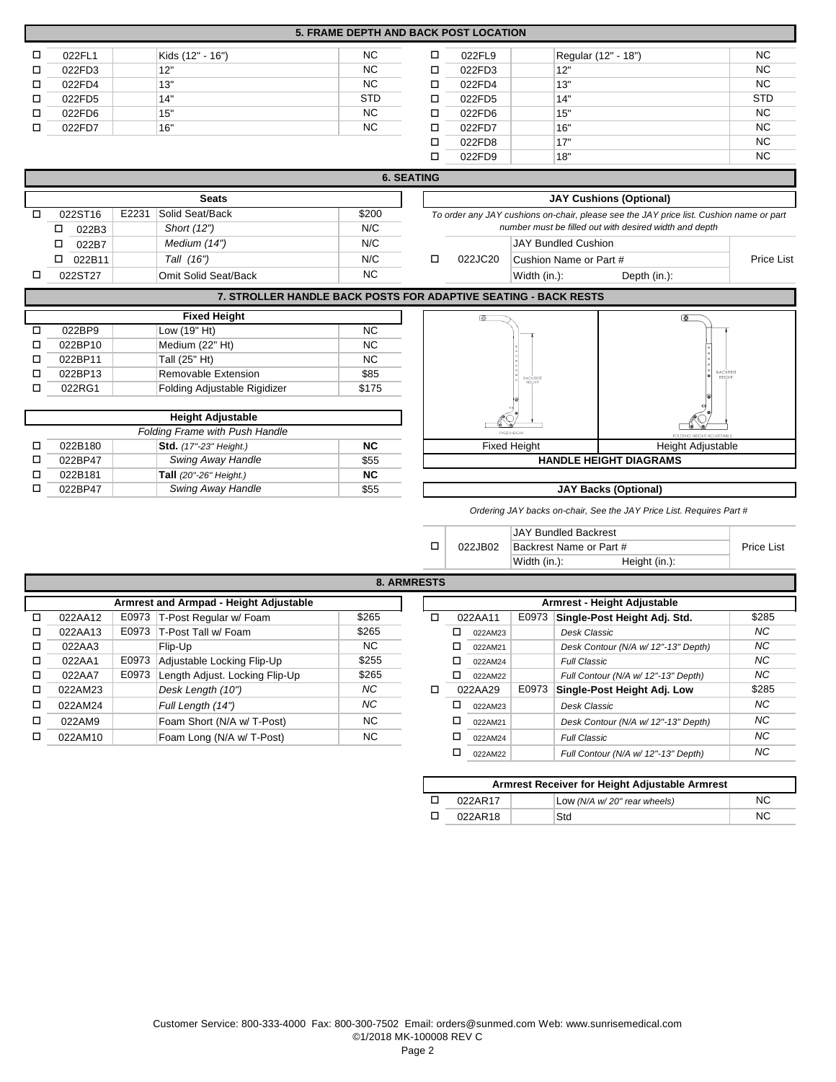|   | <b>5. FRAME DEPTH AND BACK POST LOCATION</b> |       |                              |                 |                   |                                |                                                                                         |            |  |  |  |
|---|----------------------------------------------|-------|------------------------------|-----------------|-------------------|--------------------------------|-----------------------------------------------------------------------------------------|------------|--|--|--|
| □ | 022FL1                                       |       | Kids (12" - 16")             | <b>NC</b>       | □                 | 022FL9                         | Regular (12" - 18")                                                                     | NC         |  |  |  |
| □ | 022FD3                                       |       | 12"                          | <b>NC</b>       | □                 | 022FD3                         | 12"                                                                                     | <b>NC</b>  |  |  |  |
| □ | 022FD4                                       |       | 13"                          | <b>NC</b>       | □                 | 022FD4                         | 13"                                                                                     | <b>NC</b>  |  |  |  |
| □ | 022FD5                                       |       | 14"                          | <b>STD</b>      | □                 | 022FD5                         | 14"                                                                                     | <b>STD</b> |  |  |  |
| □ | 022FD6                                       |       | 15"                          | <b>NC</b>       | □                 | 022FD6                         | 15"                                                                                     | <b>NC</b>  |  |  |  |
| □ | 022FD7                                       |       | 16"                          | <b>NC</b>       | □                 | 022FD7                         | 16"                                                                                     | <b>NC</b>  |  |  |  |
|   |                                              |       |                              |                 | □                 | 022FD8                         | 17"                                                                                     | <b>NC</b>  |  |  |  |
|   |                                              |       |                              |                 | □                 | 022FD9                         | 18"                                                                                     | <b>NC</b>  |  |  |  |
|   |                                              |       |                              |                 | <b>6. SEATING</b> |                                |                                                                                         |            |  |  |  |
|   | <b>Seats</b>                                 |       |                              |                 |                   | <b>JAY Cushions (Optional)</b> |                                                                                         |            |  |  |  |
| □ | 022ST16                                      | E2231 | Solid Seat/Back              | \$200           |                   |                                | To order any JAY cushions on-chair, please see the JAY price list. Cushion name or part |            |  |  |  |
|   | □<br>022B3                                   |       | Short (12")                  | N/C             |                   |                                | number must be filled out with desired width and depth                                  |            |  |  |  |
|   | □<br>022B7                                   |       | Medium (14")                 | N/C             |                   |                                | <b>JAY Bundled Cushion</b>                                                              |            |  |  |  |
|   | □<br>022B11                                  |       | Tall (16")                   | N/C             | о                 | 022JC20                        | Cushion Name or Part #                                                                  | Price List |  |  |  |
| □ | 022ST27                                      |       | Omit Solid Seat/Back         | <b>NC</b>       |                   |                                | Width (in.):<br>Depth (in.):                                                            |            |  |  |  |
|   |                                              |       |                              |                 |                   |                                | 7. STROLLER HANDLE BACK POSTS FOR ADAPTIVE SEATING - BACK RESTS                         |            |  |  |  |
|   |                                              |       | <b>Fixed Height</b>          |                 |                   | 厦                              | াই                                                                                      |            |  |  |  |
| □ | 022BP9                                       |       | Low (19" Ht)                 | $\overline{NC}$ |                   |                                |                                                                                         |            |  |  |  |
| □ | 022BP10                                      |       | Medium (22" Ht)              | <b>NC</b>       |                   |                                |                                                                                         |            |  |  |  |
| □ | 022BP11                                      |       | Tall (25" Ht)                | <b>NC</b>       |                   |                                | BACKREST<br>HEIGHT<br><b>BACKREST</b>                                                   |            |  |  |  |
| □ | 022BP13                                      |       | Removable Extension          | \$85            |                   |                                |                                                                                         |            |  |  |  |
| □ | 022RG1                                       |       | Folding Adjustable Rigidizer | \$175           |                   |                                |                                                                                         |            |  |  |  |

|   | <b>Height Adjustable</b>              |                               |           |  |  |  |  |  |  |  |
|---|---------------------------------------|-------------------------------|-----------|--|--|--|--|--|--|--|
|   | <b>Folding Frame with Push Handle</b> |                               |           |  |  |  |  |  |  |  |
|   | 022B180                               | <b>Std.</b> (17"-23" Height.) | NC.       |  |  |  |  |  |  |  |
|   | 022BP47                               | Swing Away Handle             | \$55      |  |  |  |  |  |  |  |
| П | 022B181                               | Tall (20"-26" Height.)        | <b>NC</b> |  |  |  |  |  |  |  |
|   | 022BP47                               | Swing Away Handle             | \$55      |  |  |  |  |  |  |  |



*Ordering JAY backs on-chair, See the JAY Price List. Requires Part #*

|         | JAY Bundled Backrest    |               |  |
|---------|-------------------------|---------------|--|
| 022JB02 | Backrest Name or Part # | Price List    |  |
|         | Width (in.):            | Height (in.): |  |

| 8. ARMRESTS |  |
|-------------|--|
|-------------|--|

|   | Armrest and Armpad - Height Adjustable |       |                                |           |  |   | Armrest - Height Adjustable |         |       |                                     |           |
|---|----------------------------------------|-------|--------------------------------|-----------|--|---|-----------------------------|---------|-------|-------------------------------------|-----------|
| п | 022AA12                                | E0973 | T-Post Regular w/ Foam         | \$265     |  | п |                             | 022AA11 | E0973 | Single-Post Height Adj. Std.        | \$285     |
| п | 022AA13                                | E0973 | T-Post Tall w/ Foam            | \$265     |  |   |                             | 022AM23 |       | Desk Classic                        | NC.       |
| □ | 022AA3                                 |       | Flip-Up                        | NC.       |  |   |                             | 022AM21 |       | Desk Contour (N/A w/ 12"-13" Depth) | <b>NC</b> |
| □ | 022AA1                                 | E0973 | Adjustable Locking Flip-Up     | \$255     |  |   |                             | 022AM24 |       | <b>Full Classic</b>                 | NC        |
| □ | 022AA7                                 | E0973 | Length Adjust. Locking Flip-Up | \$265     |  |   |                             | 022AM22 |       | Full Contour (N/A w/ 12"-13" Depth) | NC        |
| □ | 022AM23                                |       | Desk Length (10")              | NC.       |  | □ |                             | 022AA29 | E0973 | Single-Post Height Adj. Low         | \$285     |
| □ | 022AM24                                |       | Full Length (14")              | NC.       |  |   |                             | 022AM23 |       | Desk Classic                        | NC.       |
| □ | 022AM9                                 |       | Foam Short (N/A w/ T-Post)     | <b>NC</b> |  |   |                             | 022AM21 |       | Desk Contour (N/A w/ 12"-13" Depth) | NC        |
| □ | 022AM10                                |       | Foam Long (N/A w/ T-Post)      | NC        |  |   |                             | 022AM24 |       | <b>Full Classic</b>                 | NC        |
|   |                                        |       |                                |           |  |   |                             | 022AM22 |       | Full Contour (N/A w/ 12"-13" Depth) | <b>NC</b> |

| Armrest Receiver for Height Adjustable Armrest |                             |     |  |  |  |  |  |  |  |
|------------------------------------------------|-----------------------------|-----|--|--|--|--|--|--|--|
| 022AR17                                        | Low (N/A w/20" rear wheels) | NC. |  |  |  |  |  |  |  |
| 022AR18                                        | Std                         | NC. |  |  |  |  |  |  |  |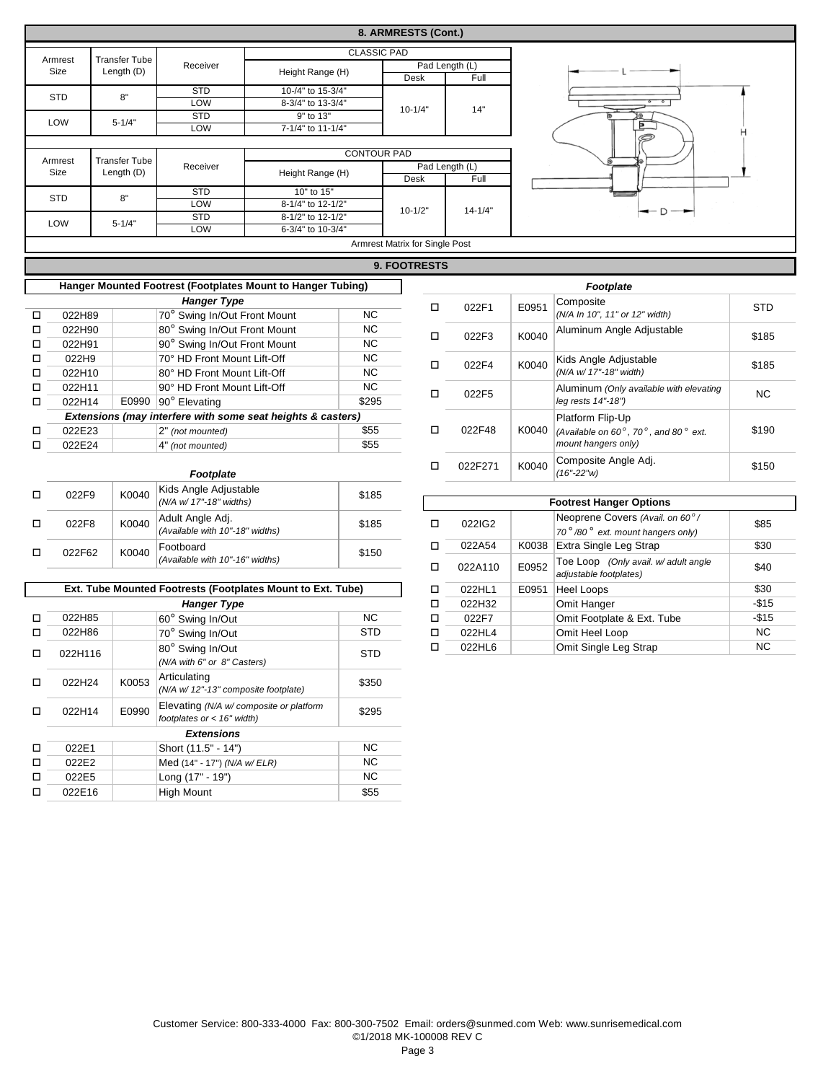|                                 |                                                             |                      |                                 |                                                                    |                                  | 8. ARMRESTS (Cont.)            |                        |                                |                                                                |            |  |
|---------------------------------|-------------------------------------------------------------|----------------------|---------------------------------|--------------------------------------------------------------------|----------------------------------|--------------------------------|------------------------|--------------------------------|----------------------------------------------------------------|------------|--|
|                                 |                                                             |                      |                                 |                                                                    | <b>CLASSIC PAD</b>               |                                |                        |                                |                                                                |            |  |
|                                 | Armrest                                                     | <b>Transfer Tube</b> | Receiver                        |                                                                    |                                  |                                | Pad Length (L)         |                                |                                                                |            |  |
|                                 | Size                                                        | Length (D)           |                                 | Height Range (H)                                                   |                                  | Desk                           | Full                   |                                |                                                                |            |  |
|                                 | <b>STD</b>                                                  | 8"                   | <b>STD</b>                      | 10-/4" to 15-3/4"                                                  |                                  |                                |                        |                                |                                                                |            |  |
|                                 |                                                             |                      | LOW                             | 8-3/4" to 13-3/4"                                                  |                                  | $10 - 1/4"$                    | 14"                    |                                |                                                                |            |  |
|                                 | LOW                                                         | $5 - 1/4"$           | <b>STD</b>                      | 9" to 13"                                                          |                                  |                                |                        |                                |                                                                |            |  |
|                                 |                                                             |                      | LOW                             | 7-1/4" to 11-1/4"                                                  |                                  |                                |                        |                                |                                                                |            |  |
|                                 |                                                             |                      |                                 |                                                                    |                                  |                                |                        |                                |                                                                |            |  |
|                                 | Armrest                                                     | <b>Transfer Tube</b> |                                 |                                                                    | <b>CONTOUR PAD</b>               |                                |                        |                                |                                                                |            |  |
|                                 | Size                                                        | Length (D)           | Receiver                        | Height Range (H)                                                   |                                  | Desk                           | Pad Length (L)<br>Full |                                |                                                                |            |  |
|                                 |                                                             |                      | <b>STD</b>                      | 10" to 15"                                                         |                                  |                                |                        |                                |                                                                |            |  |
|                                 | <b>STD</b>                                                  | 8"                   | LOW                             | 8-1/4" to 12-1/2"                                                  |                                  |                                |                        |                                |                                                                |            |  |
|                                 |                                                             |                      | <b>STD</b>                      | 8-1/2" to 12-1/2"                                                  |                                  | $10 - 1/2"$                    | $14 - 1/4"$            |                                | - D                                                            |            |  |
|                                 | LOW                                                         | $5 - 1/4"$           | LOW                             | 6-3/4" to 10-3/4"                                                  |                                  |                                |                        |                                |                                                                |            |  |
|                                 |                                                             |                      |                                 |                                                                    |                                  | Armrest Matrix for Single Post |                        |                                |                                                                |            |  |
|                                 | 9. FOOTRESTS                                                |                      |                                 |                                                                    |                                  |                                |                        |                                |                                                                |            |  |
|                                 | Hanger Mounted Footrest (Footplates Mount to Hanger Tubing) |                      |                                 |                                                                    |                                  |                                |                        |                                | <b>Footplate</b>                                               |            |  |
|                                 | <b>Hanger Type</b>                                          |                      |                                 |                                                                    |                                  |                                |                        |                                | Composite                                                      |            |  |
| □                               | 022H89                                                      |                      | 70° Swing In/Out Front Mount    |                                                                    | NC                               | $\Box$                         | 022F1                  | E0951                          | (N/A In 10", 11" or 12" width)                                 | <b>STD</b> |  |
| о                               | 022H90                                                      |                      | 80° Swing In/Out Front Mount    |                                                                    | NC                               |                                |                        |                                | Aluminum Angle Adjustable                                      |            |  |
| □                               | 022H91                                                      |                      | 90° Swing In/Out Front Mount    |                                                                    | NC                               | П                              | 022F3                  | K0040                          |                                                                | \$185      |  |
| $\Box$                          | 022H9                                                       |                      | 70° HD Front Mount Lift-Off     |                                                                    | <b>NC</b>                        |                                |                        |                                | Kids Angle Adjustable                                          |            |  |
| $\Box$                          | 022H10                                                      |                      | 80° HD Front Mount Lift-Off     |                                                                    | <b>NC</b>                        | □                              | 022F4                  | K0040                          | (N/A w/ 17"-18" width)                                         | \$185      |  |
| о                               | 022H11                                                      |                      | 90° HD Front Mount Lift-Off     |                                                                    | <b>NC</b>                        |                                |                        |                                | Aluminum (Only available with elevating                        |            |  |
| $\Box$                          | 022H14                                                      |                      | E0990 90° Elevating             |                                                                    | \$295                            | П                              | 022F5                  |                                | leg rests 14"-18")                                             | <b>NC</b>  |  |
|                                 |                                                             |                      |                                 | Extensions (may interfere with some seat heights & casters)        |                                  |                                |                        |                                | Platform Flip-Up                                               |            |  |
| □                               | 022E23                                                      |                      | 2" (not mounted)                |                                                                    | \$55                             | □                              | 022F48                 | K0040                          | (Available on $60^\circ$ , $70^\circ$ , and $80^\circ$ ext.    | \$190      |  |
| □                               | 022E24                                                      |                      | 4" (not mounted)                |                                                                    | \$55                             |                                |                        |                                | mount hangers only)                                            |            |  |
|                                 |                                                             |                      | Footplate                       |                                                                    |                                  | о                              | 022F271                | K0040                          | Composite Angle Adj.<br>$(16" - 22"w)$                         | \$150      |  |
|                                 |                                                             | K0040                | Kids Angle Adjustable           |                                                                    |                                  |                                |                        |                                |                                                                |            |  |
| П                               | 022F9                                                       |                      | (N/A w/ 17"-18" widths)         |                                                                    | \$185                            |                                |                        | <b>Footrest Hanger Options</b> |                                                                |            |  |
| □                               | 022F8                                                       | K0040                | Adult Angle Adj.                |                                                                    | \$185                            | о                              | 022IG2                 |                                | Neoprene Covers (Avail. on 60°/                                | \$85       |  |
| (Available with 10"-18" widths) |                                                             |                      |                                 |                                                                    | 70°/80° ext. mount hangers only) |                                |                        |                                |                                                                |            |  |
| о                               | 022F62                                                      |                      | Footboard                       |                                                                    |                                  | □                              | 022A54                 | K0038                          | Extra Single Leg Strap                                         | \$30       |  |
|                                 |                                                             | K0040                | (Available with 10"-16" widths) |                                                                    | \$150                            | о                              | 022A110                | E0952                          | Toe Loop (Only avail. w/ adult angle<br>adjustable footplates) | \$40       |  |
|                                 |                                                             |                      |                                 | <b>Ext. Tube Mounted Footrests (Footplates Mount to Ext. Tube)</b> |                                  | п                              | <b>N22HI1</b>          | $F\cap$ Q51                    | Hool Loone                                                     | ፍ30        |  |

|   |                                                            |       | Ext. Tube Mounted Footrests (Footplates Mount to Ext. Tube)             | □          | 022HL1 | E0951  | <b>Heel Loops</b> |                |
|---|------------------------------------------------------------|-------|-------------------------------------------------------------------------|------------|--------|--------|-------------------|----------------|
|   |                                                            |       | <b>Hanger Type</b>                                                      |            | □      | 022H32 |                   | Omit Hanger    |
| п | 022H85                                                     |       | 60° Swing In/Out                                                        | NC.        | □      | 022F7  |                   | Omit Footplate |
| п | 022H86                                                     |       | 70° Swing In/Out                                                        | <b>STD</b> | □      | 022HL4 |                   | Omit Heel Loop |
| п | 80° Swing In/Out<br>022H116<br>(N/A with 6" or 8" Casters) |       | <b>STD</b>                                                              | H          | 022HL6 |        | Omit Single Leg   |                |
| п | 022H24                                                     | K0053 | Articulating<br>(N/A w/ 12"-13" composite footplate)                    | \$350      |        |        |                   |                |
| п | 022H14                                                     | E0990 | Elevating (N/A w/ composite or platform<br>footplates or $<$ 16" width) | \$295      |        |        |                   |                |
|   |                                                            |       | <b>Extensions</b>                                                       |            |        |        |                   |                |
| □ | 022E1                                                      |       | Short (11.5" - 14")                                                     | NC.        |        |        |                   |                |
| п | 022E2                                                      |       | Med (14" - 17") (N/A w/ ELR)                                            | NC.        |        |        |                   |                |
| □ | 022E5                                                      |       | Long (17" - 19")                                                        | NC.        |        |        |                   |                |
| □ | 022E16                                                     |       | <b>High Mount</b>                                                       | \$55       |        |        |                   |                |

| ن ت ۱۰     |   | <b>Footrest Hanger Options</b> |                                                                         |                                                       |           |  |  |  |  |  |  |
|------------|---|--------------------------------|-------------------------------------------------------------------------|-------------------------------------------------------|-----------|--|--|--|--|--|--|
| \$185      | п | 022IG2                         |                                                                         | Neoprene Covers (Avail. on 60°/                       | \$85      |  |  |  |  |  |  |
|            |   |                                |                                                                         | 70 $^{\circ}$ /80 $^{\circ}$ ext. mount hangers only) |           |  |  |  |  |  |  |
| \$150      | п | 022A54<br>K0038                |                                                                         | Extra Single Leg Strap                                | \$30      |  |  |  |  |  |  |
|            | п | 022A110                        | Toe Loop (Only avail. w/ adult angle<br>E0952<br>adjustable footplates) |                                                       | \$40      |  |  |  |  |  |  |
|            | ◻ | 022HL1                         | E0951                                                                   | Heel Loops                                            | \$30      |  |  |  |  |  |  |
|            | ◻ | 022H32                         |                                                                         | Omit Hanger                                           | $-$15$    |  |  |  |  |  |  |
| <b>NC</b>  | □ | 022F7                          |                                                                         | Omit Footplate & Ext. Tube                            | $-$15$    |  |  |  |  |  |  |
| <b>STD</b> | ◻ | 022HL4                         |                                                                         | Omit Heel Loop                                        | NC.       |  |  |  |  |  |  |
| STD        | ◻ | 022HL6                         |                                                                         | Omit Single Leg Strap                                 | <b>NC</b> |  |  |  |  |  |  |
|            |   |                                |                                                                         |                                                       |           |  |  |  |  |  |  |

Page 3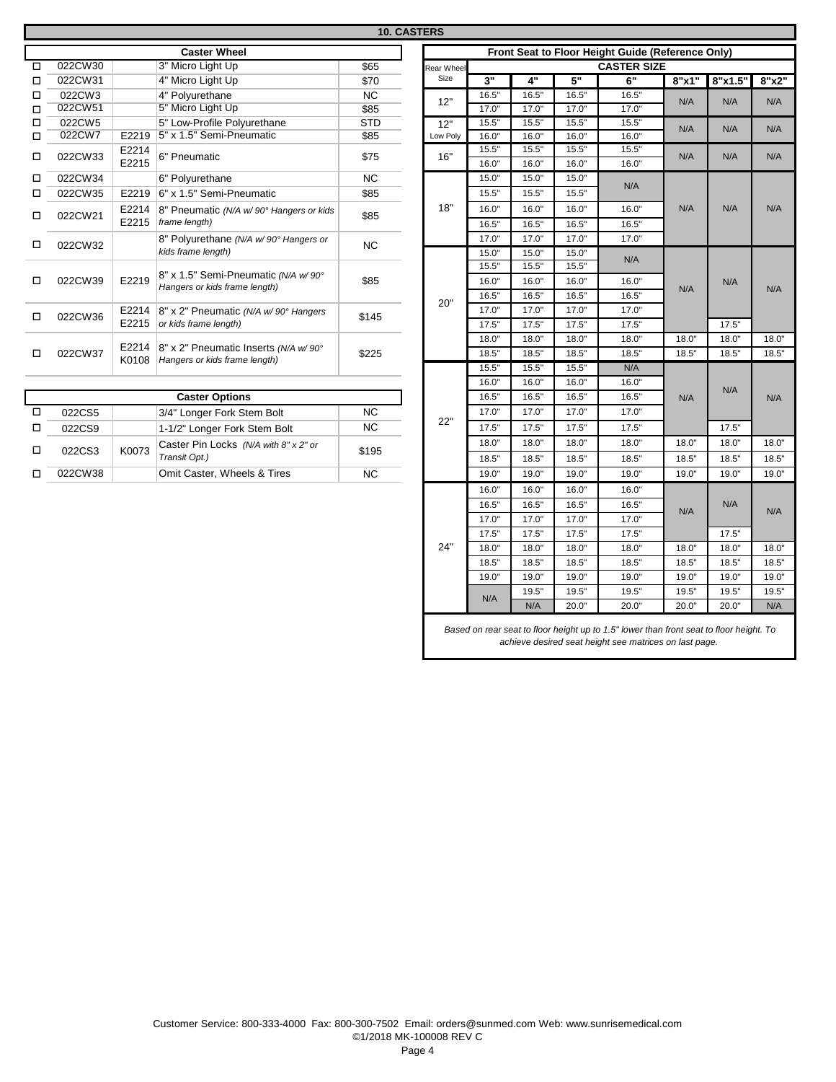|                     |         |                |                                                                       | <b>10. CASTERS</b> |        |  |  |  |  |  |
|---------------------|---------|----------------|-----------------------------------------------------------------------|--------------------|--------|--|--|--|--|--|
| <b>Caster Wheel</b> |         |                |                                                                       |                    |        |  |  |  |  |  |
| п                   | 022CW30 |                | 3" Micro Light Up                                                     | \$65               | Rear \ |  |  |  |  |  |
| п                   | 022CW31 |                | 4" Micro Light Up                                                     | \$70               | Si:    |  |  |  |  |  |
| п                   | 022CW3  |                | 4" Polyurethane                                                       | <b>NC</b>          | 12     |  |  |  |  |  |
| п                   | 022CW51 |                | 5" Micro Light Up                                                     | \$85               |        |  |  |  |  |  |
| п                   | 022CW5  |                | 5" Low-Profile Polyurethane                                           | <b>STD</b>         | 12     |  |  |  |  |  |
| п                   | 022CW7  | E2219          | 5" x 1.5" Semi-Pneumatic                                              | \$85               | Low    |  |  |  |  |  |
| п                   | 022CW33 | E2214<br>E2215 | 6" Pneumatic                                                          | \$75               | 16     |  |  |  |  |  |
| п                   | 022CW34 |                | 6" Polyurethane                                                       | <b>NC</b>          |        |  |  |  |  |  |
| п                   | 022CW35 | E2219          | 6" x 1.5" Semi-Pneumatic                                              | \$85               |        |  |  |  |  |  |
| □                   | 022CW21 | E2214<br>E2215 | 8" Pneumatic (N/A w/ 90° Hangers or kids<br>frame length)             | \$85               | 18     |  |  |  |  |  |
| □                   | 022CW32 |                | 8" Polyurethane (N/A w/90° Hangers or<br>kids frame length)           | <b>NC</b>          |        |  |  |  |  |  |
| п                   | 022CW39 | E2219          | 8" x 1.5" Semi-Pneumatic (N/A w/90°<br>Hangers or kids frame length)  | \$85               |        |  |  |  |  |  |
| п                   | 022CW36 | E2214<br>E2215 | 8" x 2" Pneumatic (N/A w/90° Hangers<br>or kids frame length)         | \$145              | 2(     |  |  |  |  |  |
| п                   | 022CW37 | E2214<br>K0108 | 8" x 2" Pneumatic Inserts (N/A w/90°<br>Hangers or kids frame length) | \$225              |        |  |  |  |  |  |

| <b>Caster Options</b> |       |                                                        |       |  |  |  |  |  |  |
|-----------------------|-------|--------------------------------------------------------|-------|--|--|--|--|--|--|
| 022CS5                |       | 3/4" Longer Fork Stem Bolt                             | NC.   |  |  |  |  |  |  |
| 022CS9                |       | 1-1/2" Longer Fork Stem Bolt                           | NC.   |  |  |  |  |  |  |
| 022CS3                | K0073 | Caster Pin Locks (N/A with 8" x 2" or<br>Transit Opt.) | \$195 |  |  |  |  |  |  |
| 022CW38               |       | Omit Caster, Wheels & Tires                            | NC.   |  |  |  |  |  |  |

| Rear Wheel |       |       |       | Front Seat to Floor Height Guide (Reference Only)<br><b>CASTER SIZE</b> |       |         |  |
|------------|-------|-------|-------|-------------------------------------------------------------------------|-------|---------|--|
| Size       | 3"    | 4"    | 5"    | 6"                                                                      | 8"x1" | 8"x1.5" |  |
|            | 16.5" | 16.5" | 16.5" | 16.5"                                                                   |       |         |  |
| 12"        | 17.0" | 17.0" | 17.0" | 17.0"                                                                   | N/A   | N/A     |  |
| 12"        | 15.5" | 15.5" | 15.5" | 15.5"                                                                   |       |         |  |
| Low Poly   | 16.0" | 16.0" | 16.0" | 16.0"                                                                   | N/A   | N/A     |  |
| 16"        | 15.5" | 15.5" | 15.5" | 15.5"                                                                   | N/A   | N/A     |  |
|            | 16.0" | 16.0" | 16.0" | 16.0"                                                                   |       |         |  |
|            | 15.0" | 15.0" | 15.0" | N/A                                                                     |       |         |  |
|            | 15.5" | 15.5" | 15.5" |                                                                         |       |         |  |
| 18"        | 16.0" | 16.0" | 16.0" | 16.0"                                                                   | N/A   | N/A     |  |
|            | 16.5" | 16.5" | 16.5" | 16.5"                                                                   |       |         |  |
|            | 17.0" | 17.0" | 17.0" | 17.0"                                                                   |       |         |  |
|            | 15.0" | 15.0" | 15.0" |                                                                         |       |         |  |
|            | 15.5" | 15.5" | 15.5" | N/A                                                                     |       | N/A     |  |
|            | 16.0" | 16.0" | 16.0" | 16.0"                                                                   |       |         |  |
|            | 16.5" | 16.5" | 16.5" | 16.5"                                                                   | N/A   |         |  |
| 20"        | 17.0" | 17.0" | 17.0" | 17.0"                                                                   |       |         |  |
|            | 17.5" | 17.5" | 17.5" | 17.5"                                                                   |       | 17.5"   |  |
|            | 18.0" | 18.0" | 18.0" | 18.0"                                                                   | 18.0" | 18.0"   |  |
|            | 18.5" | 18.5" | 18.5" | 18.5"                                                                   | 18.5" | 18.5"   |  |
|            | 15.5" | 15.5" | 15.5" | N/A                                                                     |       | N/A     |  |
|            | 16.0" | 16.0" | 16.0" | 16.0"                                                                   |       |         |  |
|            | 16.5" | 16.5" | 16.5" | 16.5"                                                                   | N/A   |         |  |
|            | 17.0" | 17.0" | 17.0" | 17.0"                                                                   |       |         |  |
| 22"        | 17.5" | 17.5" | 17.5" | 17.5"                                                                   |       | 17.5"   |  |
|            | 18.0" | 18.0" | 18.0" | 18.0"                                                                   | 18.0" | 18.0"   |  |
|            | 18.5" | 18.5" | 18.5" | 18.5"                                                                   | 18.5" | 18.5"   |  |
|            | 19.0" | 19.0" | 19.0" | 19.0"                                                                   | 19.0" | 19.0"   |  |
|            | 16.0" | 16.0" | 16.0" | 16.0"                                                                   |       |         |  |
|            | 16.5" | 16.5" | 16.5" | 16.5"                                                                   |       | N/A     |  |
|            | 17.0" | 17.0" | 17.0" | 17.0"                                                                   | N/A   |         |  |
|            | 17.5" | 17.5" | 17.5" | 17.5"                                                                   |       | 17.5"   |  |
| 24"        | 18.0" | 18.0" | 18.0" | 18.0"                                                                   | 18.0" | 18.0"   |  |
|            | 18.5" | 18.5" | 18.5" | 18.5"                                                                   | 18.5" | 18.5"   |  |
|            | 19.0" | 19.0" | 19.0" | 19.0"                                                                   | 19.0" | 19.0"   |  |
|            |       | 19.5" | 19.5" | 19.5"                                                                   | 19.5" | 19.5"   |  |
|            | N/A   | N/A   | 20.0" | 20.0"                                                                   | 20.0" | 20.0"   |  |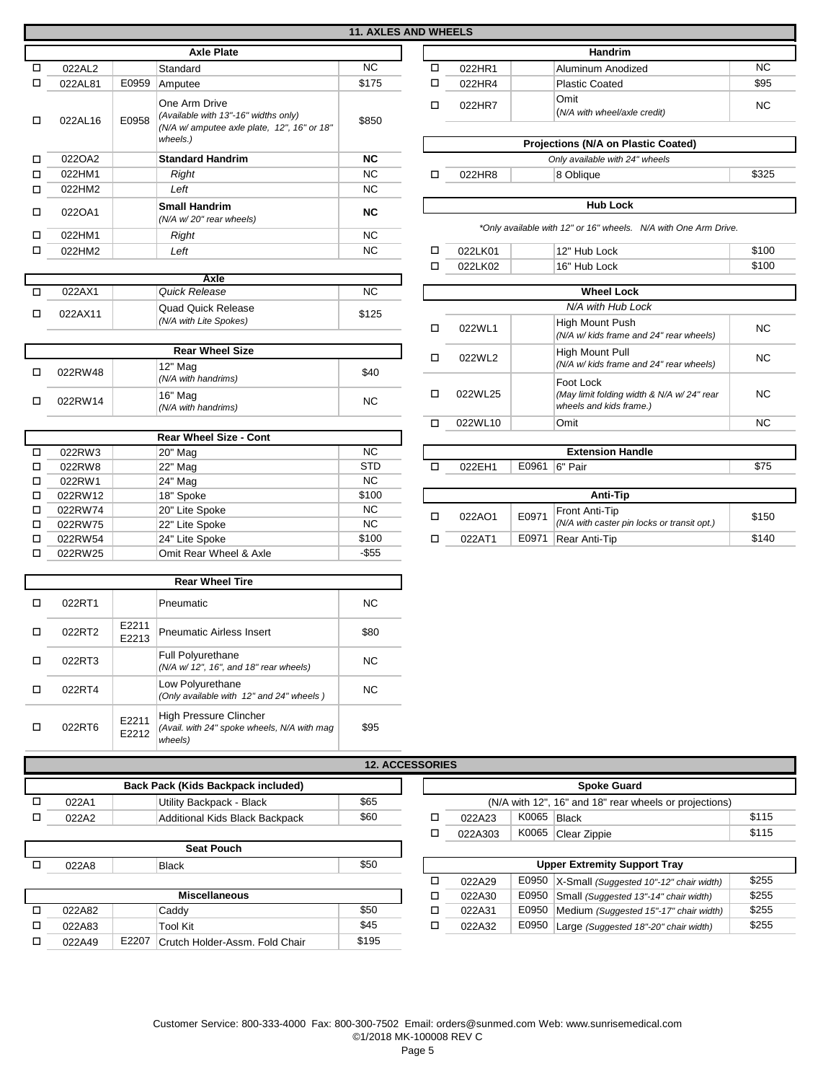## **11. AXLES AND WHEELS**

| <b>Axle Plate</b> |         |                      |                                                         |           |   |                                |  | <b>Handrim</b>                                  |
|-------------------|---------|----------------------|---------------------------------------------------------|-----------|---|--------------------------------|--|-------------------------------------------------|
| $\Box$            | 022AL2  |                      | Standard                                                | NC.       | □ | 022HR1                         |  | Aluminum Anodized                               |
| □                 | 022AL81 | E0959                | Amputee                                                 | \$175     | ◻ | 022HR4                         |  | <b>Plastic Coated</b>                           |
| п                 | 022AL16 | E0958                | One Arm Drive<br>(Available with 13"-16" widths only)   | \$850     | ◻ | 022HR7                         |  | Omit<br>(N/A with wheel/axle credit)            |
|                   |         |                      | (N/A w/ amputee axle plate, 12", 16" or 18"<br>wheels.) |           |   |                                |  | <b>Projections (N/A on Plastic Co</b>           |
| $\Box$            | 022OA2  |                      | <b>Standard Handrim</b>                                 | NC.       |   | Only available with 24" wheels |  |                                                 |
| □                 | 022HM1  |                      | Right                                                   | NC.       | ◻ | 022HR8                         |  | 8 Oblique                                       |
| □                 | 022HM2  |                      | Left                                                    | NC.       |   |                                |  |                                                 |
| □                 | 022OA1  | <b>Small Handrim</b> |                                                         |           |   |                                |  | <b>Hub Lock</b>                                 |
|                   |         |                      | (N/A w/20" rear wheels)                                 | <b>NC</b> |   |                                |  |                                                 |
| □                 | 022HM1  |                      | <b>Right</b>                                            | NC.       |   |                                |  | *Only available with 12" or 16" wheels. N/A wit |
| п                 | 022HM2  |                      | Left                                                    | NC.       | п | 022LK01                        |  | 12" Hub Lock                                    |
|                   |         |                      |                                                         |           | П | 022LK02                        |  | 16" Hub Lock                                    |
|                   |         |                      | . .                                                     |           |   |                                |  |                                                 |

| Axle |         |                                                     |       |  |  |  |
|------|---------|-----------------------------------------------------|-------|--|--|--|
|      | 022AX1  | Quick Release                                       | ΝC    |  |  |  |
|      | 022AX11 | <b>Quad Quick Release</b><br>(N/A with Lite Spokes) | \$125 |  |  |  |

| <b>Rear Wheel Size</b> |         |                                |      |  |  |  |
|------------------------|---------|--------------------------------|------|--|--|--|
|                        | 022RW48 | 12" Mag<br>(N/A with handrims) | \$40 |  |  |  |
|                        | 022RW14 | 16" Mag<br>(N/A with handrims) | NC.  |  |  |  |

|   |         | <b>Rear Wheel Size - Cont</b> |            |   |        |       |                       |
|---|---------|-------------------------------|------------|---|--------|-------|-----------------------|
| □ | 022RW3  | 20" Mag                       | NC.        |   |        |       | Extension             |
| □ | 022RW8  | 22" Mag                       | <b>STD</b> | п | 022EH1 | E0961 | 6" Pair               |
| □ | 022RW1  | 24" Mag                       | NC.        |   |        |       |                       |
| п | 022RW12 | 18" Spoke                     | \$100      |   |        |       | Anti-T                |
| □ | 022RW74 | 20" Lite Spoke                | NC.        | □ | 022AO1 | E0971 | <b>Front Anti-Tip</b> |
| □ | 022RW75 | 22" Lite Spoke                | NC.        |   |        |       | (N/A with caster      |
| □ | 022RW54 | 24" Lite Spoke                | \$100      | п | 022AT1 | E0971 | Rear Anti-Tip         |
| п | 022RW25 | Omit Rear Wheel & Axle        | $-$ \$55   |   |        |       |                       |
|   |         |                               |            |   |        |       |                       |

| <b>Rear Wheel Tire</b> |        |                            |                                                                                  |           |  |  |  |
|------------------------|--------|----------------------------|----------------------------------------------------------------------------------|-----------|--|--|--|
|                        | 022RT1 |                            | Pneumatic                                                                        | <b>NC</b> |  |  |  |
|                        | 022RT2 | E2211<br>E2213             | <b>Pneumatic Airless Insert</b>                                                  | \$80      |  |  |  |
|                        | 022RT3 |                            | <b>Full Polyurethane</b><br>(N/A w/ 12", 16", and 18" rear wheels)               | <b>NC</b> |  |  |  |
|                        | 022RT4 |                            | Low Polyurethane<br>(Only available with 12" and 24" wheels)                     | <b>NC</b> |  |  |  |
|                        | 022RT6 | E2211<br>F <sub>2212</sub> | High Pressure Clincher<br>(Avail. with 24" spoke wheels, N/A with mag<br>wheels) | \$95      |  |  |  |

| Back Pack (Kids Backpack included) |       |                                |      |  |  |  |
|------------------------------------|-------|--------------------------------|------|--|--|--|
|                                    | N22A1 | Utility Backpack - Black       | \$65 |  |  |  |
|                                    | N22A2 | Additional Kids Black Backpack | \$60 |  |  |  |

| <b>Seat Pouch</b>    |                       |       |                                |       |  |  |
|----------------------|-----------------------|-------|--------------------------------|-------|--|--|
| п                    | 022A8<br><b>Black</b> |       | \$50                           |       |  |  |
|                      |                       |       |                                |       |  |  |
| <b>Miscellaneous</b> |                       |       |                                |       |  |  |
| п                    | 022A82                |       | Caddy                          | \$50  |  |  |
|                      | 022A83                |       | <b>Tool Kit</b>                | \$45  |  |  |
| п                    | 022A49                | E2207 | Crutch Holder-Assm. Fold Chair | \$195 |  |  |

| - - - - - - - - - |                                      |      |
|-------------------|--------------------------------------|------|
|                   | <b>Handrim</b>                       |      |
| 022HR1            | Aluminum Anodized                    | NC.  |
| 022HR4            | <b>Plastic Coated</b>                | \$95 |
| 022HR7            | Omit<br>(N/A with wheel/axle credit) | NC.  |

| Projections (N/A on Plastic Coated) |        |                                |       |  |  |  |
|-------------------------------------|--------|--------------------------------|-------|--|--|--|
|                                     |        | Only available with 24" wheels |       |  |  |  |
|                                     | 022HR8 | 8 Obliaue                      | \$325 |  |  |  |
|                                     |        |                                |       |  |  |  |

## **Hub Lock**

*\*Only available with 12" or 16" wheels. N/A with One Arm Drive.*

16" Hub Lock \$100

\$100

|   |         | <b>Wheel Lock</b>                                                                 |           |
|---|---------|-----------------------------------------------------------------------------------|-----------|
|   |         | N/A with Hub Lock                                                                 |           |
| п | 022WL1  | High Mount Push<br>(N/A w/ kids frame and 24" rear wheels)                        | <b>NC</b> |
| п | 022WL2  | High Mount Pull<br>(N/A w/ kids frame and 24" rear wheels)                        | <b>NC</b> |
| п | 022WL25 | Foot Lock<br>(May limit folding width & N/A w/24" rear<br>wheels and kids frame.) | <b>NC</b> |
| п | 022WL10 | Omit                                                                              | <b>NC</b> |

| 022FH1   | E0961 | 6" Pair                                                       | \$75  |  |  |  |  |
|----------|-------|---------------------------------------------------------------|-------|--|--|--|--|
|          |       |                                                               |       |  |  |  |  |
| Anti-Tip |       |                                                               |       |  |  |  |  |
| 022AO1   | E0971 | Front Anti-Tip<br>(N/A with caster pin locks or transit opt.) | \$150 |  |  |  |  |
| 022AT1   | E0971 | Rear Anti-Tip                                                 | \$140 |  |  |  |  |

| <b>12. ACCESSORIES</b> |   |                                                        |       |              |       |  |  |  |  |  |
|------------------------|---|--------------------------------------------------------|-------|--------------|-------|--|--|--|--|--|
|                        |   | <b>Spoke Guard</b>                                     |       |              |       |  |  |  |  |  |
| \$65                   |   | (N/A with 12", 16" and 18" rear wheels or projections) |       |              |       |  |  |  |  |  |
| \$60                   | п | 022A23                                                 | K0065 | <b>Black</b> | \$115 |  |  |  |  |  |
|                        | п | 022A303                                                | K0065 | Clear Zippie | \$115 |  |  |  |  |  |

| <b>Upper Extremity Support Tray</b> |        |       |                                         |       |  |  |  |  |
|-------------------------------------|--------|-------|-----------------------------------------|-------|--|--|--|--|
|                                     | 022A29 | E0950 | X-Small (Suggested 10"-12" chair width) | \$255 |  |  |  |  |
|                                     | 022A30 | E0950 | Small (Suggested 13"-14" chair width)   | \$255 |  |  |  |  |
|                                     | 022A31 | E0950 | Medium (Suggested 15"-17" chair width)  | \$255 |  |  |  |  |
|                                     | 022A32 | E0950 | Large (Suggested 18"-20" chair width)   | \$255 |  |  |  |  |

Page 5